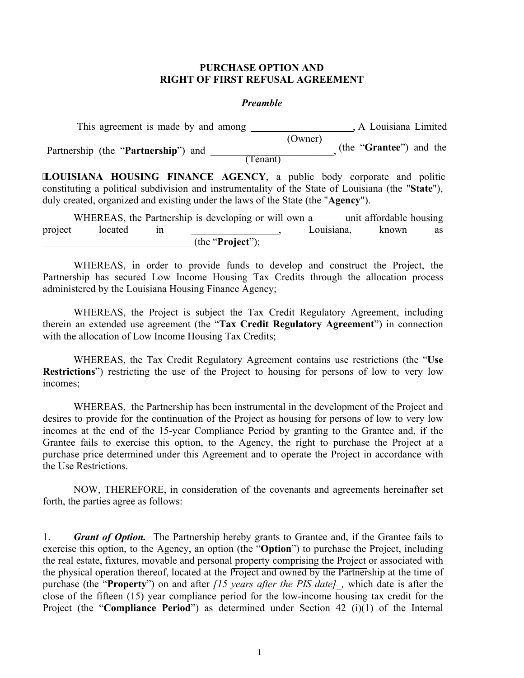#### **PURCHASE OPTION AND RIGHT OF FIRST REFUSAL AGREEMENT**

#### *Preamble*

 This agreement is made by and among , A Louisiana Limited (Owner) Partnership (the "**Partnership**") and \_\_\_\_\_\_\_\_\_\_\_\_\_\_\_\_\_, (the "**Grantee**") and the The contract of the contract of the contract of the contract of the contract of the contract of the contract of the contract of the contract of the contract of the contract of the contract of the contract of the contract o  $\overline{a}$ 

**LOUISIANA HOUSING FINANCE AGENCY**, a public body corporate and politic constituting a political subdivision and instrumentality of the State of Louisiana (the "**State**"), duly created, organized and existing under the laws of the State (the "**Agency**").

|         |         | WHEREAS, the Partnership is developing or will own a |            | unit affordable housing |    |
|---------|---------|------------------------------------------------------|------------|-------------------------|----|
| project | located |                                                      | Louisiana. | known                   | as |
|         |         | (the " <b>Project</b> ");                            |            |                         |    |

 WHEREAS, in order to provide funds to develop and construct the Project, the Partnership has secured Low Income Housing Tax Credits through the allocation process administered by the Louisiana Housing Finance Agency;

 WHEREAS, the Project is subject the Tax Credit Regulatory Agreement, including therein an extended use agreement (the "**Tax Credit Regulatory Agreement**") in connection with the allocation of Low Income Housing Tax Credits;

 WHEREAS, the Tax Credit Regulatory Agreement contains use restrictions (the "**Use Restrictions**") restricting the use of the Project to housing for persons of low to very low incomes;

 WHEREAS, the Partnership has been instrumental in the development of the Project and desires to provide for the continuation of the Project as housing for persons of low to very low incomes at the end of the 15-year Compliance Period by granting to the Grantee and, if the Grantee fails to exercise this option, to the Agency, the right to purchase the Project at a purchase price determined under this Agreement and to operate the Project in accordance with the Use Restrictions.

 NOW, THEREFORE, in consideration of the covenants and agreements hereinafter set forth, the parties agree as follows:

1. *Grant of Option.* The Partnership hereby grants to Grantee and, if the Grantee fails to exercise this option, to the Agency, an option (the "**Option**") to purchase the Project, including the real estate, fixtures, movable and personal property comprising the Project or associated with the physical operation thereof, located at the Project and owned by the Partnership at the time of purchase (the "**Property**") on and after *[15 years after the PIS date]\_,* which date is after the close of the fifteen (15) year compliance period for the low-income housing tax credit for the Project (the "**Compliance Period**") as determined under Section 42 (i)(1) of the Internal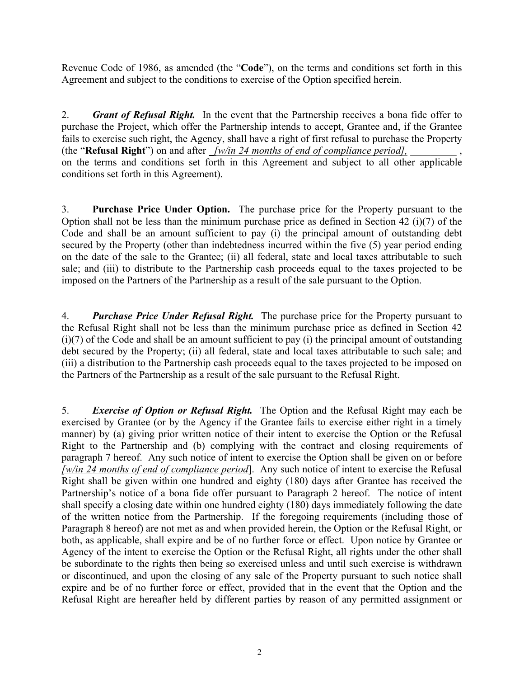Revenue Code of 1986, as amended (the "**Code**"), on the terms and conditions set forth in this Agreement and subject to the conditions to exercise of the Option specified herein.

2. *Grant of Refusal Right.* In the event that the Partnership receives a bona fide offer to purchase the Project, which offer the Partnership intends to accept, Grantee and, if the Grantee fails to exercise such right, the Agency, shall have a right of first refusal to purchase the Property (the "**Refusal Right**") on and after *\_[w/in 24 months of end of compliance period],* \_\_\_\_\_\_\_\_\_ , on the terms and conditions set forth in this Agreement and subject to all other applicable conditions set forth in this Agreement).

3. **Purchase Price Under Option.** The purchase price for the Property pursuant to the Option shall not be less than the minimum purchase price as defined in Section 42 (i)(7) of the Code and shall be an amount sufficient to pay (i) the principal amount of outstanding debt secured by the Property (other than indebtedness incurred within the five (5) year period ending on the date of the sale to the Grantee; (ii) all federal, state and local taxes attributable to such sale; and (iii) to distribute to the Partnership cash proceeds equal to the taxes projected to be imposed on the Partners of the Partnership as a result of the sale pursuant to the Option.

4. *Purchase Price Under Refusal Right.* The purchase price for the Property pursuant to the Refusal Right shall not be less than the minimum purchase price as defined in Section 42  $(i)(7)$  of the Code and shall be an amount sufficient to pay  $(i)$  the principal amount of outstanding debt secured by the Property; (ii) all federal, state and local taxes attributable to such sale; and (iii) a distribution to the Partnership cash proceeds equal to the taxes projected to be imposed on the Partners of the Partnership as a result of the sale pursuant to the Refusal Right.

5. *Exercise of Option or Refusal Right.* The Option and the Refusal Right may each be exercised by Grantee (or by the Agency if the Grantee fails to exercise either right in a timely manner) by (a) giving prior written notice of their intent to exercise the Option or the Refusal Right to the Partnership and (b) complying with the contract and closing requirements of paragraph 7 hereof. Any such notice of intent to exercise the Option shall be given on or before *[w/in 24 months of end of compliance period*]. Any such notice of intent to exercise the Refusal Right shall be given within one hundred and eighty (180) days after Grantee has received the Partnership's notice of a bona fide offer pursuant to Paragraph 2 hereof. The notice of intent shall specify a closing date within one hundred eighty (180) days immediately following the date of the written notice from the Partnership. If the foregoing requirements (including those of Paragraph 8 hereof) are not met as and when provided herein, the Option or the Refusal Right, or both, as applicable, shall expire and be of no further force or effect. Upon notice by Grantee or Agency of the intent to exercise the Option or the Refusal Right, all rights under the other shall be subordinate to the rights then being so exercised unless and until such exercise is withdrawn or discontinued, and upon the closing of any sale of the Property pursuant to such notice shall expire and be of no further force or effect, provided that in the event that the Option and the Refusal Right are hereafter held by different parties by reason of any permitted assignment or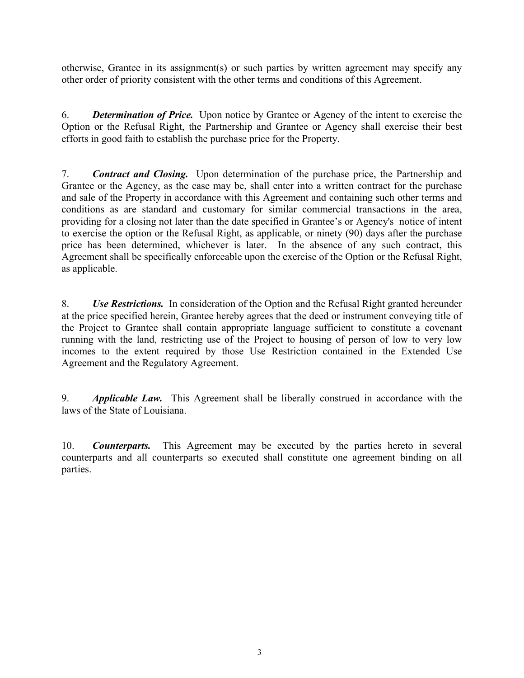otherwise, Grantee in its assignment(s) or such parties by written agreement may specify any other order of priority consistent with the other terms and conditions of this Agreement.

6. *Determination of Price.* Upon notice by Grantee or Agency of the intent to exercise the Option or the Refusal Right, the Partnership and Grantee or Agency shall exercise their best efforts in good faith to establish the purchase price for the Property.

7. *Contract and Closing.* Upon determination of the purchase price, the Partnership and Grantee or the Agency, as the case may be, shall enter into a written contract for the purchase and sale of the Property in accordance with this Agreement and containing such other terms and conditions as are standard and customary for similar commercial transactions in the area, providing for a closing not later than the date specified in Grantee's or Agency's notice of intent to exercise the option or the Refusal Right, as applicable, or ninety (90) days after the purchase price has been determined, whichever is later. In the absence of any such contract, this Agreement shall be specifically enforceable upon the exercise of the Option or the Refusal Right, as applicable.

8. *Use Restrictions.* In consideration of the Option and the Refusal Right granted hereunder at the price specified herein, Grantee hereby agrees that the deed or instrument conveying title of the Project to Grantee shall contain appropriate language sufficient to constitute a covenant running with the land, restricting use of the Project to housing of person of low to very low incomes to the extent required by those Use Restriction contained in the Extended Use Agreement and the Regulatory Agreement.

9. *Applicable Law.* This Agreement shall be liberally construed in accordance with the laws of the State of Louisiana.

10. *Counterparts.* This Agreement may be executed by the parties hereto in several counterparts and all counterparts so executed shall constitute one agreement binding on all parties.